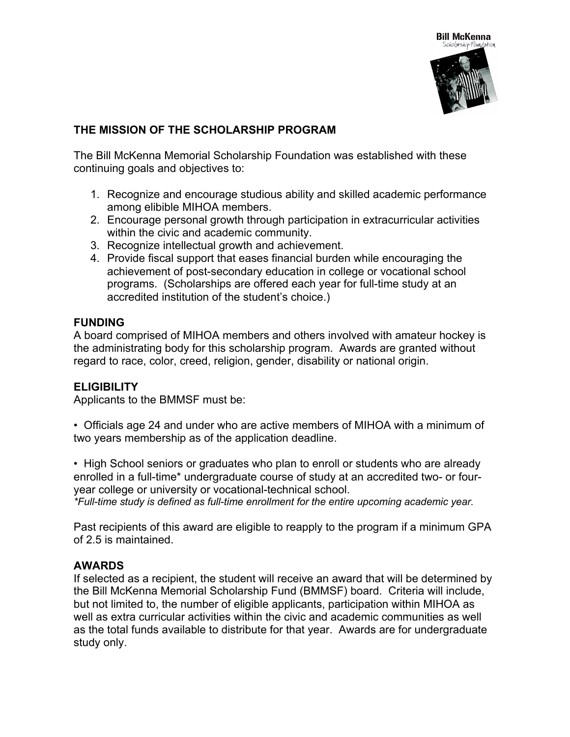

# **THE MISSION OF THE SCHOLARSHIP PROGRAM**

The Bill McKenna Memorial Scholarship Foundation was established with these continuing goals and objectives to:

- 1. Recognize and encourage studious ability and skilled academic performance among elibible MIHOA members.
- 2. Encourage personal growth through participation in extracurricular activities within the civic and academic community.
- 3. Recognize intellectual growth and achievement.
- 4. Provide fiscal support that eases financial burden while encouraging the achievement of post-secondary education in college or vocational school programs. (Scholarships are offered each year for full-time study at an accredited institution of the student's choice.)

## **FUNDING**

A board comprised of MIHOA members and others involved with amateur hockey is the administrating body for this scholarship program. Awards are granted without regard to race, color, creed, religion, gender, disability or national origin.

## **ELIGIBILITY**

Applicants to the BMMSF must be:

• Officials age 24 and under who are active members of MIHOA with a minimum of two years membership as of the application deadline.

• High School seniors or graduates who plan to enroll or students who are already enrolled in a full-time\* undergraduate course of study at an accredited two- or fouryear college or university or vocational-technical school. *\*Full-time study is defined as full-time enrollment for the entire upcoming academic year.*

Past recipients of this award are eligible to reapply to the program if a minimum GPA

## **AWARDS**

of 2.5 is maintained.

If selected as a recipient, the student will receive an award that will be determined by the Bill McKenna Memorial Scholarship Fund (BMMSF) board. Criteria will include, but not limited to, the number of eligible applicants, participation within MIHOA as well as extra curricular activities within the civic and academic communities as well as the total funds available to distribute for that year. Awards are for undergraduate study only.